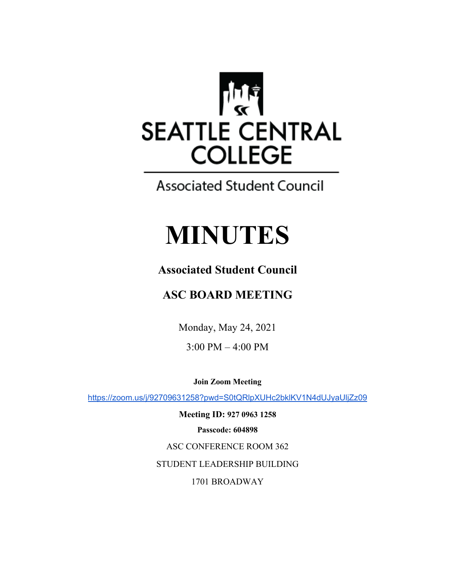

**Associated Student Council** 

# **MINUTES**

## **Associated Student Council**

## **ASC BOARD MEETING**

Monday, May 24, 2021

3:00 PM – 4:00 PM

**Join Zoom Meeting** 

https://zoom.us/j/92709631258?pwd=S0tQRlpXUHc2bklKV1N4dUJyaUljZz09

**Meeting ID: 927 0963 1258 Passcode: 604898** ASC CONFERENCE ROOM 362 STUDENT LEADERSHIP BUILDING 1701 BROADWAY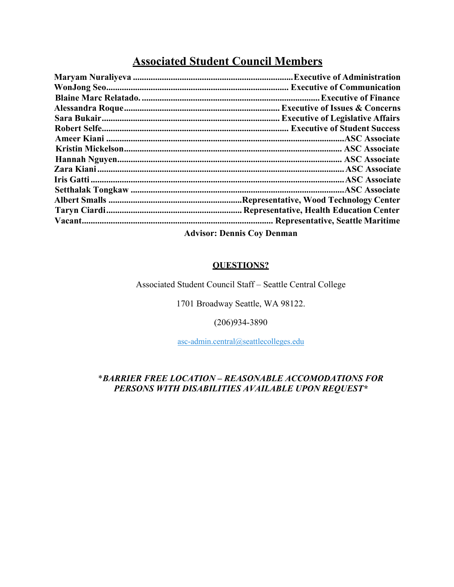### **Associated Student Council Members**

| . Executive of Issues & Concerns               |
|------------------------------------------------|
|                                                |
| <b>Executive of Student Success</b>            |
|                                                |
|                                                |
|                                                |
|                                                |
|                                                |
|                                                |
|                                                |
| <b>Representative, Health Education Center</b> |
|                                                |
| .                                              |

**Advisor: Dennis Coy Denman**

#### **QUESTIONS?**

Associated Student Council Staff – Seattle Central College

1701 Broadway Seattle, WA 98122.

#### (206)934-3890

asc-admin.central@seattlecolleges.edu

#### \**BARRIER FREE LOCATION – REASONABLE ACCOMODATIONS FOR PERSONS WITH DISABILITIES AVAILABLE UPON REQUEST\**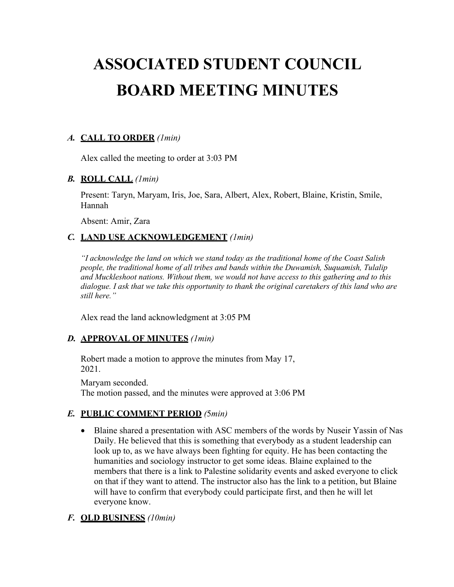## **ASSOCIATED STUDENT COUNCIL BOARD MEETING MINUTES**

#### *A.* **CALL TO ORDER** *(1min)*

Alex called the meeting to order at 3:03 PM

#### *B.* **ROLL CALL** *(1min)*

Present: Taryn, Maryam, Iris, Joe, Sara, Albert, Alex, Robert, Blaine, Kristin, Smile, Hannah

Absent: Amir, Zara

#### *C.* **LAND USE ACKNOWLEDGEMENT** *(1min)*

*"I acknowledge the land on which we stand today as the traditional home of the Coast Salish people, the traditional home of all tribes and bands within the Duwamish, Suquamish, Tulalip and Muckleshoot nations. Without them, we would not have access to this gathering and to this dialogue. I ask that we take this opportunity to thank the original caretakers of this land who are still here."*

Alex read the land acknowledgment at 3:05 PM

#### *D.* **APPROVAL OF MINUTES** *(1min)*

Robert made a motion to approve the minutes from May 17, 2021.

Maryam seconded. The motion passed, and the minutes were approved at 3:06 PM

#### *E.* **PUBLIC COMMENT PERIOD** *(*5*min)*

• Blaine shared a presentation with ASC members of the words by Nuseir Yassin of Nas Daily. He believed that this is something that everybody as a student leadership can look up to, as we have always been fighting for equity. He has been contacting the humanities and sociology instructor to get some ideas. Blaine explained to the members that there is a link to Palestine solidarity events and asked everyone to click on that if they want to attend. The instructor also has the link to a petition, but Blaine will have to confirm that everybody could participate first, and then he will let everyone know.

#### *F.* **OLD BUSINESS** *(10min)*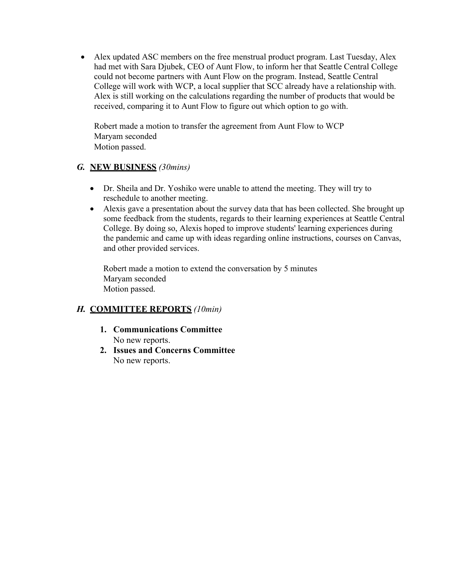• Alex updated ASC members on the free menstrual product program. Last Tuesday, Alex had met with Sara Djubek, CEO of Aunt Flow, to inform her that Seattle Central College could not become partners with Aunt Flow on the program. Instead, Seattle Central College will work with WCP, a local supplier that SCC already have a relationship with. Alex is still working on the calculations regarding the number of products that would be received, comparing it to Aunt Flow to figure out which option to go with.

Robert made a motion to transfer the agreement from Aunt Flow to WCP Maryam seconded Motion passed.

#### *G.* **NEW BUSINESS** *(30mins)*

- Dr. Sheila and Dr. Yoshiko were unable to attend the meeting. They will try to reschedule to another meeting.
- Alexis gave a presentation about the survey data that has been collected. She brought up some feedback from the students, regards to their learning experiences at Seattle Central College. By doing so, Alexis hoped to improve students' learning experiences during the pandemic and came up with ideas regarding online instructions, courses on Canvas, and other provided services.

Robert made a motion to extend the conversation by 5 minutes Maryam seconded Motion passed.

#### *H.* **COMMITTEE REPORTS** *(10min)*

- **1. Communications Committee** No new reports.
- **2. Issues and Concerns Committee** No new reports.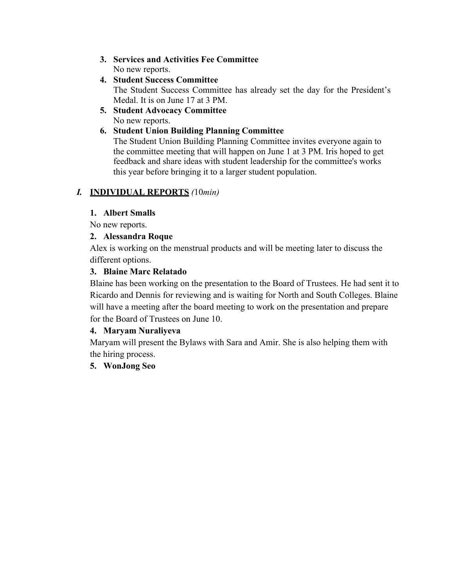- **3. Services and Activities Fee Committee** No new reports.
- **4. Student Success Committee** The Student Success Committee has already set the day for the President's Medal. It is on June 17 at 3 PM.
- **5. Student Advocacy Committee** No new reports.

#### **6. Student Union Building Planning Committee**

The Student Union Building Planning Committee invites everyone again to the committee meeting that will happen on June 1 at 3 PM. Iris hoped to get feedback and share ideas with student leadership for the committee's works this year before bringing it to a larger student population.

#### *I.* **INDIVIDUAL REPORTS** *(*10*min)*

#### **1. Albert Smalls**

No new reports.

#### **2. Alessandra Roque**

Alex is working on the menstrual products and will be meeting later to discuss the different options.

#### **3. Blaine Marc Relatado**

Blaine has been working on the presentation to the Board of Trustees. He had sent it to Ricardo and Dennis for reviewing and is waiting for North and South Colleges. Blaine will have a meeting after the board meeting to work on the presentation and prepare for the Board of Trustees on June 10.

#### **4. Maryam Nuraliyeva**

Maryam will present the Bylaws with Sara and Amir. She is also helping them with the hiring process.

#### **5. WonJong Seo**